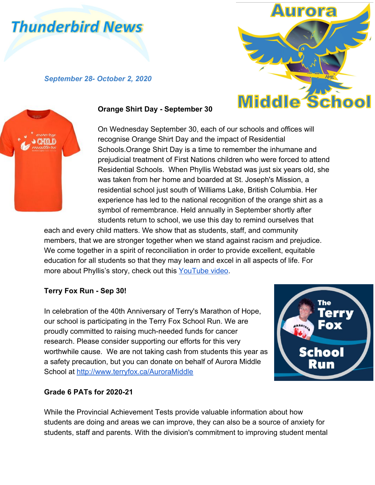# **Thunderbird News**

*September 28- October 2, 2020*





#### **Orange Shirt Day - September 30**

On Wednesday September 30, each of our schools and offices will recognise Orange Shirt Day and the impact of Residential Schools.Orange Shirt Day is a time to remember the inhumane and prejudicial treatment of First Nations children who were forced to attend Residential Schools. When Phyllis Webstad was just six years old, she was taken from her home and boarded at St. Joseph's Mission, a residential school just south of Williams Lake, British Columbia. Her experience has led to the national recognition of the orange shirt as a symbol of remembrance. Held annually in September shortly after students return to school, we use this day to remind ourselves that

each and every child matters. We show that as students, staff, and community members, that we are stronger together when we stand against racism and prejudice. We come together in a spirit of reconciliation in order to provide excellent, equitable education for all students so that they may learn and excel in all aspects of life. For more about Phyllis's story, check out this [YouTube video.](https://www.youtube.com/watch?v=ll1pUrK29MM&feature=youtu.be)

## **Terry Fox Run - Sep 30!**

In celebration of the 40th Anniversary of Terry's Marathon of Hope, our school is participating in the Terry Fox School Run. We are proudly committed to raising much-needed funds for cancer research. Please consider supporting our efforts for this very worthwhile cause. We are not taking cash from students this year as a safety precaution, but you can donate on behalf of Aurora Middle School at<http://www.terryfox.ca/AuroraMiddle>



## **Grade 6 PATs for 2020-21**

While the Provincial Achievement Tests provide valuable information about how students are doing and areas we can improve, they can also be a source of anxiety for students, staff and parents. With the division's commitment to improving student mental